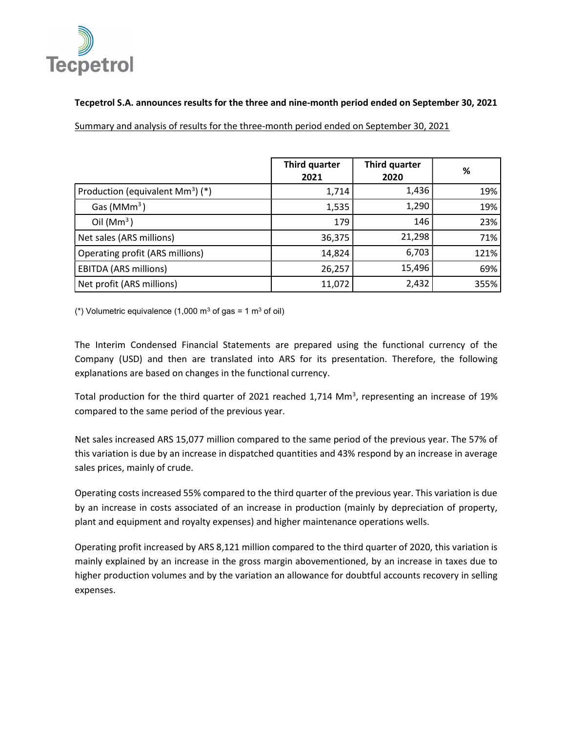

## Tecpetrol S.A. announces results for the three and nine-month period ended on September 30, 2021

Summary and analysis of results for the three-month period ended on September 30, 2021

|                                    | <b>Third quarter</b><br>2021 | Third quarter<br>2020 | %    |
|------------------------------------|------------------------------|-----------------------|------|
| Production (equivalent $Mm3$ ) (*) | 1,714                        | 1,436                 | 19%  |
| Gas ( $MMm3$ )                     | 1,535                        | 1,290                 | 19%  |
| Oil $(Mm3)$                        | 179                          | 146                   | 23%  |
| Net sales (ARS millions)           | 36,375                       | 21,298                | 71%  |
| Operating profit (ARS millions)    | 14,824                       | 6,703                 | 121% |
| <b>EBITDA (ARS millions)</b>       | 26,257                       | 15,496                | 69%  |
| Net profit (ARS millions)          | 11,072                       | 2,432                 | 355% |

(\*) Volumetric equivalence (1,000 m<sup>3</sup> of gas = 1 m<sup>3</sup> of oil)

The Interim Condensed Financial Statements are prepared using the functional currency of the Company (USD) and then are translated into ARS for its presentation. Therefore, the following explanations are based on changes in the functional currency.

Total production for the third quarter of 2021 reached 1,714  $\text{Mm}^3$ , representing an increase of 19% compared to the same period of the previous year.

Net sales increased ARS 15,077 million compared to the same period of the previous year. The 57% of this variation is due by an increase in dispatched quantities and 43% respond by an increase in average sales prices, mainly of crude.

Operating costs increased 55% compared to the third quarter of the previous year. This variation is due by an increase in costs associated of an increase in production (mainly by depreciation of property, plant and equipment and royalty expenses) and higher maintenance operations wells.

Operating profit increased by ARS 8,121 million compared to the third quarter of 2020, this variation is mainly explained by an increase in the gross margin abovementioned, by an increase in taxes due to higher production volumes and by the variation an allowance for doubtful accounts recovery in selling expenses.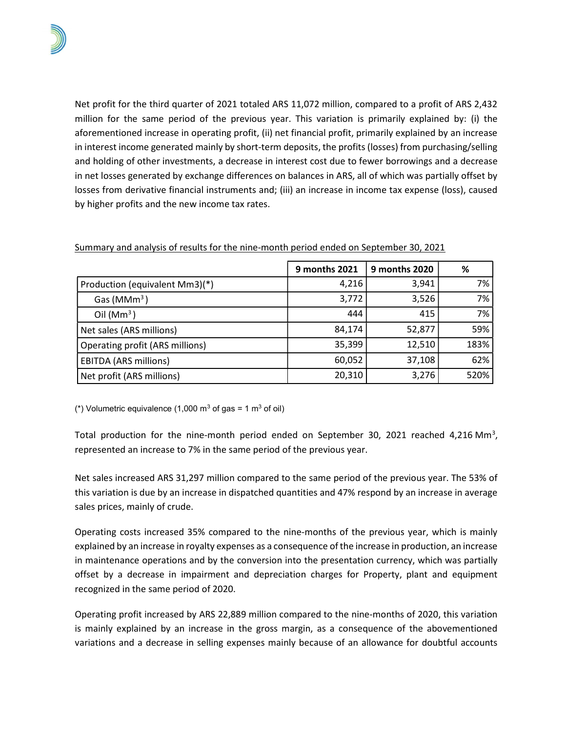Net profit for the third quarter of 2021 totaled ARS 11,072 million, compared to a profit of ARS 2,432 million for the same period of the previous year. This variation is primarily explained by: (i) the aforementioned increase in operating profit, (ii) net financial profit, primarily explained by an increase in interest income generated mainly by short-term deposits, the profits (losses) from purchasing/selling and holding of other investments, a decrease in interest cost due to fewer borrowings and a decrease in net losses generated by exchange differences on balances in ARS, all of which was partially offset by losses from derivative financial instruments and; (iii) an increase in income tax expense (loss), caused by higher profits and the new income tax rates.

|                                 | 9 months 2021 | 9 months 2020 | %    |
|---------------------------------|---------------|---------------|------|
| Production (equivalent Mm3)(*)  | 4,216         | 3,941         | 7%   |
| Gas ( $MMm3$ )                  | 3,772         | 3,526         | 7%   |
| Oil $(Mm3)$                     | 444           | 415           | 7%   |
| Net sales (ARS millions)        | 84,174        | 52,877        | 59%  |
| Operating profit (ARS millions) | 35,399        | 12,510        | 183% |
| <b>EBITDA (ARS millions)</b>    | 60,052        | 37,108        | 62%  |
| Net profit (ARS millions)       | 20,310        | 3,276         | 520% |

Summary and analysis of results for the nine-month period ended on September 30, 2021

(\*) Volumetric equivalence (1,000 m<sup>3</sup> of gas = 1 m<sup>3</sup> of oil)

Total production for the nine-month period ended on September 30, 2021 reached 4,216 Mm<sup>3</sup>, represented an increase to 7% in the same period of the previous year.

Net sales increased ARS 31,297 million compared to the same period of the previous year. The 53% of this variation is due by an increase in dispatched quantities and 47% respond by an increase in average sales prices, mainly of crude.

Operating costs increased 35% compared to the nine-months of the previous year, which is mainly explained by an increase in royalty expenses as a consequence of the increase in production, an increase in maintenance operations and by the conversion into the presentation currency, which was partially offset by a decrease in impairment and depreciation charges for Property, plant and equipment recognized in the same period of 2020.

Operating profit increased by ARS 22,889 million compared to the nine-months of 2020, this variation is mainly explained by an increase in the gross margin, as a consequence of the abovementioned variations and a decrease in selling expenses mainly because of an allowance for doubtful accounts